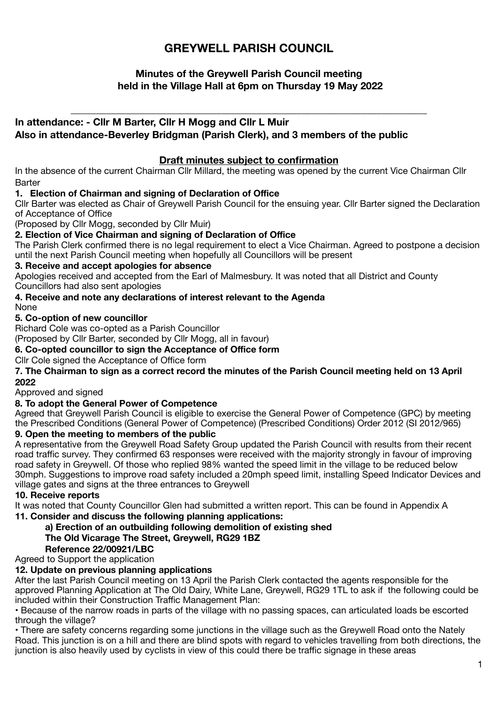# **GREYWELL PARISH COUNCIL**

## **Minutes of the Greywell Parish Council meeting held in the Village Hall at 6pm on Thursday 19 May 2022**

\_\_\_\_\_\_\_\_\_\_\_\_\_\_\_\_\_\_\_\_\_\_\_\_\_\_\_\_\_\_\_\_\_\_\_\_\_\_\_\_\_\_\_\_\_\_\_\_\_\_\_\_\_\_\_\_\_\_\_\_\_\_\_\_\_\_\_\_\_\_\_

## **In attendance: - Cllr M Barter, Cllr H Mogg and Cllr L Muir**

**Also in attendance-Beverley Bridgman (Parish Clerk), and 3 members of the public** 

### **Draft minutes subject to confirmation**

In the absence of the current Chairman Cllr Millard, the meeting was opened by the current Vice Chairman Cllr Barter 

### **1. Election of Chairman and signing of Declaration of Office**

Cllr Barter was elected as Chair of Greywell Parish Council for the ensuing year. Cllr Barter signed the Declaration of Acceptance of Office

(Proposed by Cllr Mogg, seconded by Cllr Muir)

#### **2. Election of Vice Chairman and signing of Declaration of Office**

The Parish Clerk confirmed there is no legal requirement to elect a Vice Chairman. Agreed to postpone a decision until the next Parish Council meeting when hopefully all Councillors will be present

### **3. Receive and accept apologies for absence**

Apologies received and accepted from the Earl of Malmesbury. It was noted that all District and County Councillors had also sent apologies

## **4. Receive and note any declarations of interest relevant to the Agenda**

None

#### **5. Co-option of new councillor**

Richard Cole was co-opted as a Parish Councillor

(Proposed by Cllr Barter, seconded by Cllr Mogg, all in favour)

### **6. Co-opted councillor to sign the Acceptance of Office form**

Cllr Cole signed the Acceptance of Office form

**7. The Chairman to sign as a correct record the minutes of the Parish Council meeting held on 13 April 2022** 

Approved and signed

## **8. To adopt the General Power of Competence**

Agreed that Greywell Parish Council is eligible to exercise the General Power of Competence (GPC) by meeting the Prescribed Conditions (General Power of Competence) (Prescribed Conditions) Order 2012 (SI 2012/965)

## **9. Open the meeting to members of the public**

A representative from the Greywell Road Safety Group updated the Parish Council with results from their recent road traffic survey. They confirmed 63 responses were received with the majority strongly in favour of improving road safety in Greywell. Of those who replied 98% wanted the speed limit in the village to be reduced below 30mph. Suggestions to improve road safety included a 20mph speed limit, installing Speed Indicator Devices and village gates and signs at the three entrances to Greywell

#### **10. Receive reports**

It was noted that County Councillor Glen had submitted a written report. This can be found in Appendix A **11. Consider and discuss the following planning applications:** 

**a) Erection of an outbuilding following demolition of existing shed** 

## **The Old Vicarage The Street, Greywell, RG29 1BZ**

## **Reference 22/00921/LBC**

Agreed to Support the application

## **12. Update on previous planning applications**

After the last Parish Council meeting on 13 April the Parish Clerk contacted the agents responsible for the approved Planning Application at The Old Dairy, White Lane, Greywell, RG29 1TL to ask if the following could be included within their Construction Traffic Management Plan:

• Because of the narrow roads in parts of the village with no passing spaces, can articulated loads be escorted through the village?

• There are safety concerns regarding some junctions in the village such as the Greywell Road onto the Nately Road. This junction is on a hill and there are blind spots with regard to vehicles travelling from both directions, the junction is also heavily used by cyclists in view of this could there be traffic signage in these areas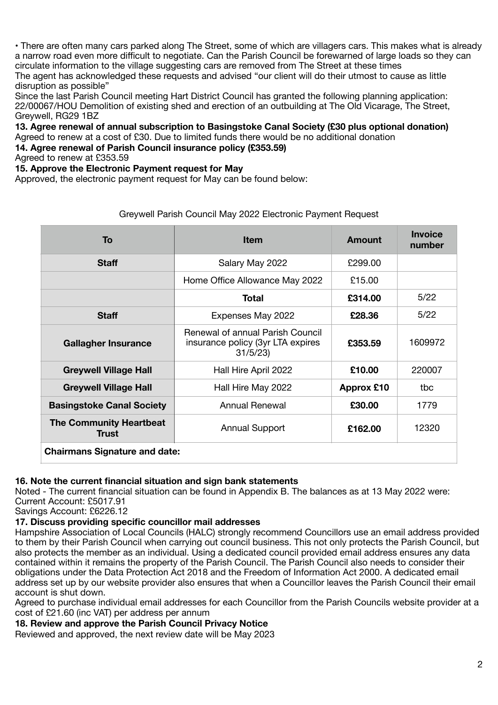• There are often many cars parked along The Street, some of which are villagers cars. This makes what is already a narrow road even more difficult to negotiate. Can the Parish Council be forewarned of large loads so they can circulate information to the village suggesting cars are removed from The Street at these times The agent has acknowledged these requests and advised "our client will do their utmost to cause as little disruption as possible"

Since the last Parish Council meeting Hart District Council has granted the following planning application: 22/00067/HOU Demolition of existing shed and erection of an outbuilding at The Old Vicarage, The Street, Greywell, RG29 1BZ

**13. Agree renewal of annual subscription to Basingstoke Canal Society (£30 plus optional donation)**  Agreed to renew at a cost of £30. Due to limited funds there would be no additional donation

**14. Agree renewal of Parish Council insurance policy (£353.59)** 

Agreed to renew at £353.59

**15. Approve the Electronic Payment request for May** 

Approved, the electronic payment request for May can be found below:

| To                                      | <b>Item</b>                                                                      | Amount            | <b>Invoice</b><br>number |  |
|-----------------------------------------|----------------------------------------------------------------------------------|-------------------|--------------------------|--|
| <b>Staff</b>                            | Salary May 2022                                                                  | £299.00           |                          |  |
|                                         | Home Office Allowance May 2022                                                   | £15.00            |                          |  |
|                                         | Total                                                                            | £314.00           | 5/22                     |  |
| <b>Staff</b>                            | Expenses May 2022                                                                | £28.36            | 5/22                     |  |
| <b>Gallagher Insurance</b>              | Renewal of annual Parish Council<br>insurance policy (3yr LTA expires<br>31/5/23 | £353.59           | 1609972                  |  |
| <b>Greywell Village Hall</b>            | Hall Hire April 2022                                                             | £10.00            | 220007                   |  |
| <b>Greywell Village Hall</b>            | Hall Hire May 2022                                                               | <b>Approx £10</b> | tbc                      |  |
| <b>Basingstoke Canal Society</b>        | Annual Renewal                                                                   | £30.00            | 1779                     |  |
| <b>The Community Heartbeat</b><br>Trust | <b>Annual Support</b>                                                            | £162.00           | 12320                    |  |
| <b>Chairmans Signature and date:</b>    |                                                                                  |                   |                          |  |

### Greywell Parish Council May 2022 Electronic Payment Request

#### **16. Note the current financial situation and sign bank statements**

Noted - The current financial situation can be found in Appendix B. The balances as at 13 May 2022 were: Current Account: £5017.91

Savings Account: £6226.12

#### **17. Discuss providing specific councillor mail addresses**

Hampshire Association of Local Councils (HALC) strongly recommend Councillors use an email address provided to them by their Parish Council when carrying out council business. This not only protects the Parish Council, but also protects the member as an individual. Using a dedicated council provided email address ensures any data contained within it remains the property of the Parish Council. The Parish Council also needs to consider their obligations under the Data Protection Act 2018 and the Freedom of Information Act 2000. A dedicated email address set up by our website provider also ensures that when a Councillor leaves the Parish Council their email account is shut down.

Agreed to purchase individual email addresses for each Councillor from the Parish Councils website provider at a cost of £21.60 (inc VAT) per address per annum

**18. Review and approve the Parish Council Privacy Notice** 

Reviewed and approved, the next review date will be May 2023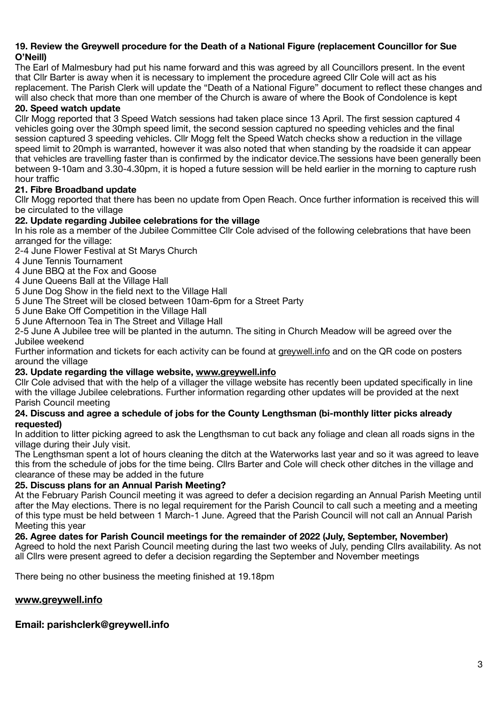#### **19. Review the Greywell procedure for the Death of a National Figure (replacement Councillor for Sue O'Neill)**

The Earl of Malmesbury had put his name forward and this was agreed by all Councillors present. In the event that Cllr Barter is away when it is necessary to implement the procedure agreed Cllr Cole will act as his replacement. The Parish Clerk will update the "Death of a National Figure" document to reflect these changes and will also check that more than one member of the Church is aware of where the Book of Condolence is kept

## **20. Speed watch update**

Cllr Mogg reported that 3 Speed Watch sessions had taken place since 13 April. The first session captured 4 vehicles going over the 30mph speed limit, the second session captured no speeding vehicles and the final session captured 3 speeding vehicles. Cllr Mogg felt the Speed Watch checks show a reduction in the village speed limit to 20mph is warranted, however it was also noted that when standing by the roadside it can appear that vehicles are travelling faster than is confirmed by the indicator device.The sessions have been generally been between 9-10am and 3.30-4.30pm, it is hoped a future session will be held earlier in the morning to capture rush hour traffic

## **21. Fibre Broadband update**

Cllr Mogg reported that there has been no update from Open Reach. Once further information is received this will be circulated to the village

## **22. Update regarding Jubilee celebrations for the village**

In his role as a member of the Jubilee Committee Cllr Cole advised of the following celebrations that have been arranged for the village:

2-4 June Flower Festival at St Marys Church

4 June Tennis Tournament

4 June BBQ at the Fox and Goose

4 June Queens Ball at the Village Hall

5 June Dog Show in the field next to the Village Hall

5 June The Street will be closed between 10am-6pm for a Street Party

5 June Bake Off Competition in the Village Hall

5 June Afternoon Tea in The Street and Village Hall

2-5 June A Jubilee tree will be planted in the autumn. The siting in Church Meadow will be agreed over the Jubilee weekend

Further information and tickets for each activity can be found at [greywell.info](http://greywell.info) and on the QR code on posters around the village

## **23. Update regarding the village website, [www.greywell.info](http://www.greywell.info)**

Cllr Cole advised that with the help of a villager the village website has recently been updated specifically in line with the village Jubilee celebrations. Further information regarding other updates will be provided at the next Parish Council meeting

#### **24. Discuss and agree a schedule of jobs for the County Lengthsman (bi-monthly litter picks already requested)**

In addition to litter picking agreed to ask the Lengthsman to cut back any foliage and clean all roads signs in the village during their July visit.

The Lengthsman spent a lot of hours cleaning the ditch at the Waterworks last year and so it was agreed to leave this from the schedule of jobs for the time being. Cllrs Barter and Cole will check other ditches in the village and clearance of these may be added in the future

#### **25. Discuss plans for an Annual Parish Meeting?**

At the February Parish Council meeting it was agreed to defer a decision regarding an Annual Parish Meeting until after the May elections. There is no legal requirement for the Parish Council to call such a meeting and a meeting of this type must be held between 1 March-1 June. Agreed that the Parish Council will not call an Annual Parish Meeting this year

#### **26. Agree dates for Parish Council meetings for the remainder of 2022 (July, September, November)**

Agreed to hold the next Parish Council meeting during the last two weeks of July, pending Cllrs availability. As not all Cllrs were present agreed to defer a decision regarding the September and November meetings

There being no other business the meeting finished at 19.18pm

## **[www.greywell.info](http://www.greywell.info)**

## **Email: parishclerk@greywell.info**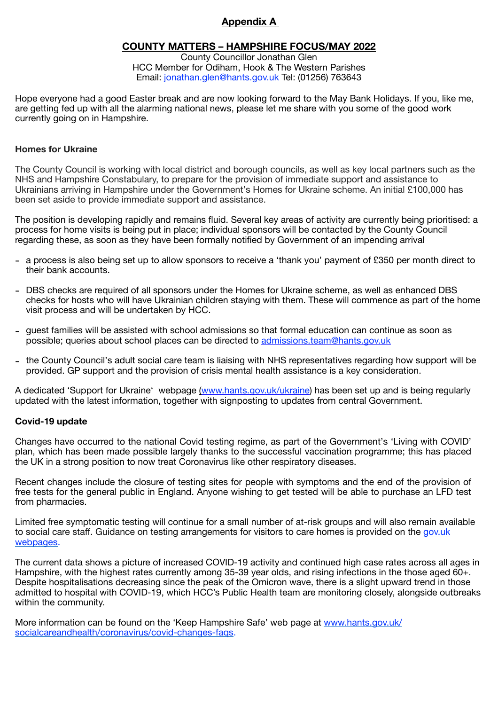## **Appendix A**

### **COUNTY MATTERS – HAMPSHIRE FOCUS/MAY 2022**

County Councillor Jonathan Glen HCC Member for Odiham, Hook & The Western Parishes Email: jonathan.glen@hants.gov.uk Tel: (01256) 763643

Hope everyone had a good Easter break and are now looking forward to the May Bank Holidays. If you, like me, are getting fed up with all the alarming national news, please let me share with you some of the good work currently going on in Hampshire.

#### **Homes for Ukraine**

The County Council is working with local district and borough councils, as well as key local partners such as the NHS and Hampshire Constabulary, to prepare for the provision of immediate support and assistance to Ukrainians arriving in Hampshire under the Government's Homes for Ukraine scheme. An initial £100,000 has been set aside to provide immediate support and assistance.

The position is developing rapidly and remains fluid. Several key areas of activity are currently being prioritised: a process for home visits is being put in place; individual sponsors will be contacted by the County Council regarding these, as soon as they have been formally notified by Government of an impending arrival

- a process is also being set up to allow sponsors to receive a 'thank you' payment of £350 per month direct to their bank accounts.
- DBS checks are required of all sponsors under the Homes for Ukraine scheme, as well as enhanced DBS checks for hosts who will have Ukrainian children staying with them. These will commence as part of the home visit process and will be undertaken by HCC.
- guest families will be assisted with school admissions so that formal education can continue as soon as possible; queries about school places can be directed to admissions.team@hants.gov.uk
- the County Council's adult social care team is liaising with NHS representatives regarding how support will be provided. GP support and the provision of crisis mental health assistance is a key consideration.

A dedicated 'Support for Ukraine' webpage (www.hants.gov.uk/ukraine) has been set up and is being regularly updated with the latest information, together with signposting to updates from central Government.

#### **Covid-19 update**

Changes have occurred to the national Covid testing regime, as part of the Government's 'Living with COVID' plan, which has been made possible largely thanks to the successful vaccination programme; this has placed the UK in a strong position to now treat Coronavirus like other respiratory diseases.

Recent changes include the closure of testing sites for people with symptoms and the end of the provision of free tests for the general public in England. Anyone wishing to get tested will be able to purchase an LFD test from pharmacies.

Limited free symptomatic testing will continue for a small number of at-risk groups and will also remain available to social care staff. Guidance on testing arrangements for visitors to care homes is provided on the gov.uk webpages.

The current data shows a picture of increased COVID-19 activity and continued high case rates across all ages in Hampshire, with the highest rates currently among 35-39 year olds, and rising infections in the those aged 60+. Despite hospitalisations decreasing since the peak of the Omicron wave, there is a slight upward trend in those admitted to hospital with COVID-19, which HCC's Public Health team are monitoring closely, alongside outbreaks within the community.

More information can be found on the 'Keep Hampshire Safe' web page at www.hants.gov.uk/ socialcareandhealth/coronavirus/covid-changes-faqs.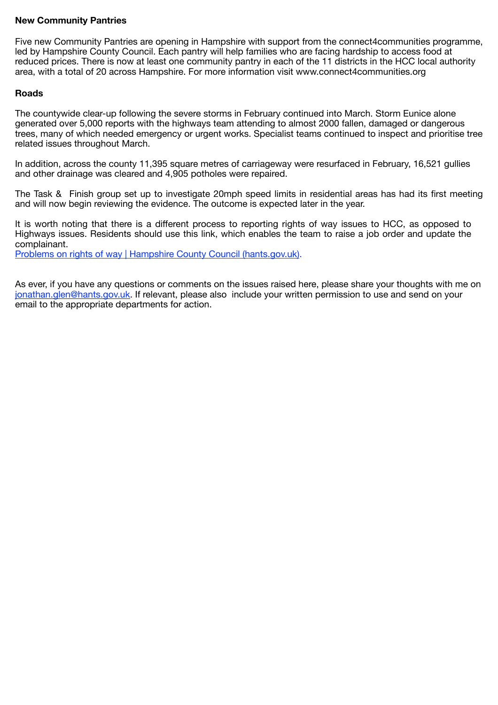#### **New Community Pantries**

Five new Community Pantries are opening in Hampshire with support from the connect4communities programme, led by Hampshire County Council. Each pantry will help families who are facing hardship to access food at reduced prices. There is now at least one community pantry in each of the 11 districts in the HCC local authority area, with a total of 20 across Hampshire. For more information visit www.connect4communities.org

#### **Roads**

The countywide clear-up following the severe storms in February continued into March. Storm Eunice alone generated over 5,000 reports with the highways team attending to almost 2000 fallen, damaged or dangerous trees, many of which needed emergency or urgent works. Specialist teams continued to inspect and prioritise tree related issues throughout March.

In addition, across the county 11,395 square metres of carriageway were resurfaced in February, 16,521 gullies and other drainage was cleared and 4,905 potholes were repaired.

The Task & Finish group set up to investigate 20mph speed limits in residential areas has had its first meeting and will now begin reviewing the evidence. The outcome is expected later in the year.

It is worth noting that there is a different process to reporting rights of way issues to HCC, as opposed to Highways issues. Residents should use this link, which enables the team to raise a job order and update the complainant.

Problems on rights of way | Hampshire County Council (hants.gov.uk).

As ever, if you have any questions or comments on the issues raised here, please share your thoughts with me on jonathan.glen@hants.gov.uk. If relevant, please also include your written permission to use and send on your email to the appropriate departments for action.